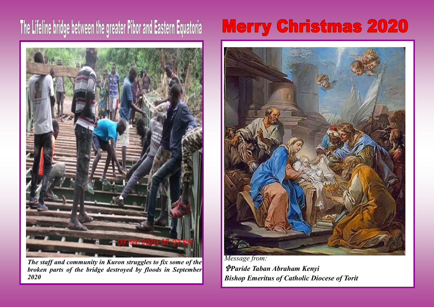## The Lifeline bridge between the greater Pibor and Eastern Equatoria



*The staff and community in Kuron struggles to fix some of the broken parts of the bridge destroyed by floods in September 2020*

## **Merry Christmas 2020**



*Paride Taban Abraham Kenyi Bishop Emeritus of Catholic Diocese of Torit*